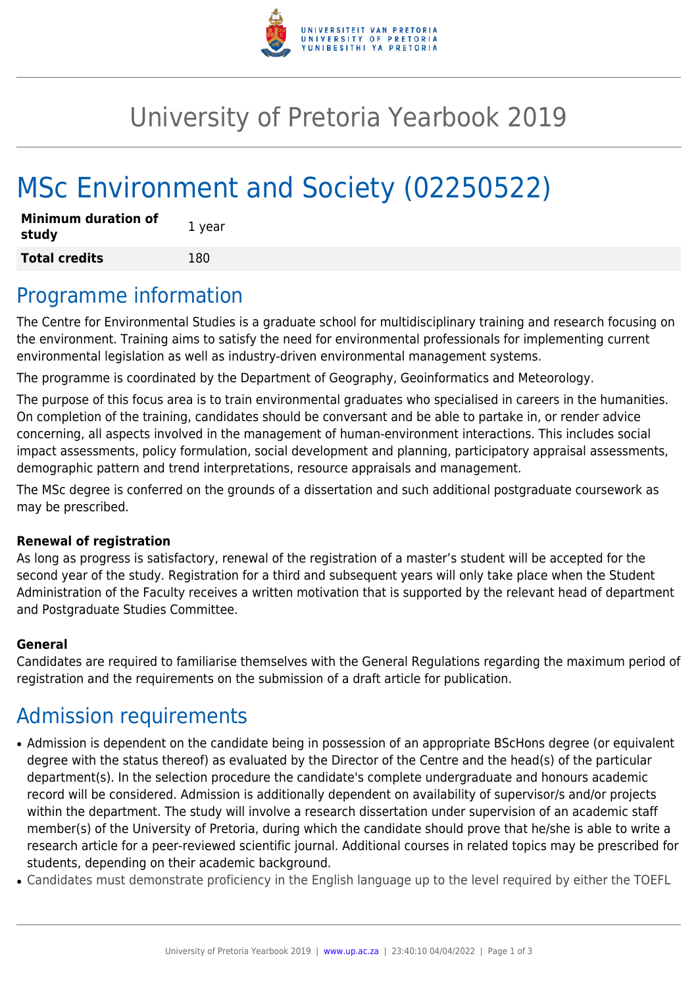

## University of Pretoria Yearbook 2019

# MSc Environment and Society (02250522)

| <b>Minimum duration of</b><br>study | 1 year |
|-------------------------------------|--------|
| <b>Total credits</b>                | 180    |

#### Programme information

The Centre for Environmental Studies is a graduate school for multidisciplinary training and research focusing on the environment. Training aims to satisfy the need for environmental professionals for implementing current environmental legislation as well as industry-driven environmental management systems.

The programme is coordinated by the Department of Geography, Geoinformatics and Meteorology.

The purpose of this focus area is to train environmental graduates who specialised in careers in the humanities. On completion of the training, candidates should be conversant and be able to partake in, or render advice concerning, all aspects involved in the management of human-environment interactions. This includes social impact assessments, policy formulation, social development and planning, participatory appraisal assessments, demographic pattern and trend interpretations, resource appraisals and management.

The MSc degree is conferred on the grounds of a dissertation and such additional postgraduate coursework as may be prescribed.

#### **Renewal of registration**

As long as progress is satisfactory, renewal of the registration of a master's student will be accepted for the second year of the study. Registration for a third and subsequent years will only take place when the Student Administration of the Faculty receives a written motivation that is supported by the relevant head of department and Postgraduate Studies Committee.

#### **General**

Candidates are required to familiarise themselves with the General Regulations regarding the maximum period of registration and the requirements on the submission of a draft article for publication.

### Admission requirements

- Admission is dependent on the candidate being in possession of an appropriate BScHons degree (or equivalent degree with the status thereof) as evaluated by the Director of the Centre and the head(s) of the particular department(s). In the selection procedure the candidate's complete undergraduate and honours academic record will be considered. Admission is additionally dependent on availability of supervisor/s and/or projects within the department. The study will involve a research dissertation under supervision of an academic staff member(s) of the University of Pretoria, during which the candidate should prove that he/she is able to write a research article for a peer-reviewed scientific journal. Additional courses in related topics may be prescribed for students, depending on their academic background.
- Candidates must demonstrate proficiency in the English language up to the level required by either the TOEFL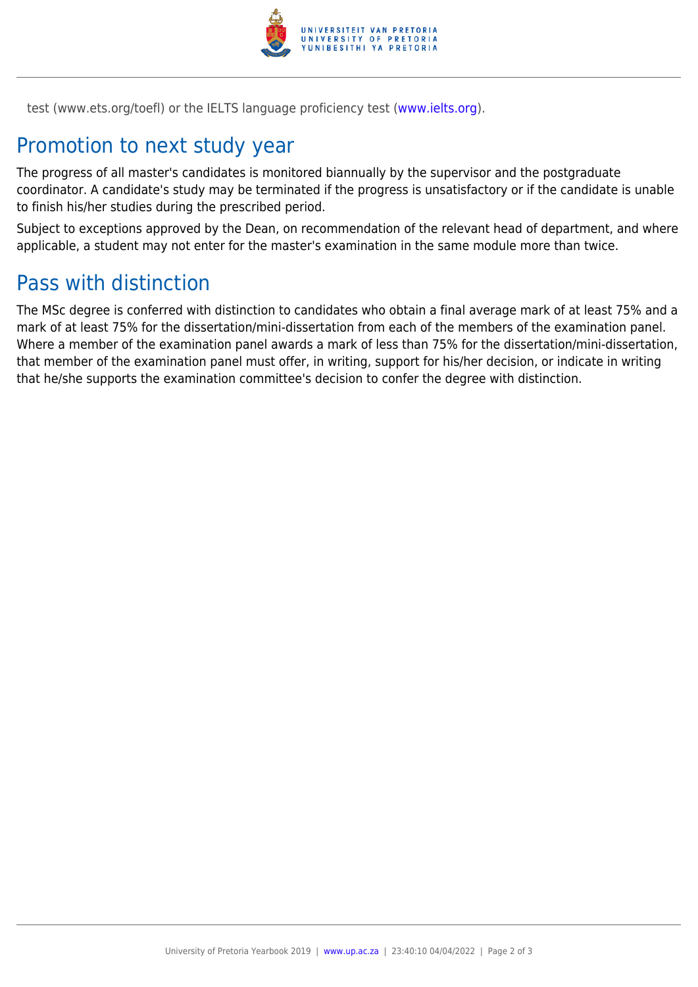

test (www.ets.org/toefl) or the IELTS language proficiency test ([www.ielts.org](http://www.ielts.org)).

### Promotion to next study year

The progress of all master's candidates is monitored biannually by the supervisor and the postgraduate coordinator. A candidate's study may be terminated if the progress is unsatisfactory or if the candidate is unable to finish his/her studies during the prescribed period.

Subject to exceptions approved by the Dean, on recommendation of the relevant head of department, and where applicable, a student may not enter for the master's examination in the same module more than twice.

#### Pass with distinction

The MSc degree is conferred with distinction to candidates who obtain a final average mark of at least 75% and a mark of at least 75% for the dissertation/mini-dissertation from each of the members of the examination panel. Where a member of the examination panel awards a mark of less than 75% for the dissertation/mini-dissertation, that member of the examination panel must offer, in writing, support for his/her decision, or indicate in writing that he/she supports the examination committee's decision to confer the degree with distinction.